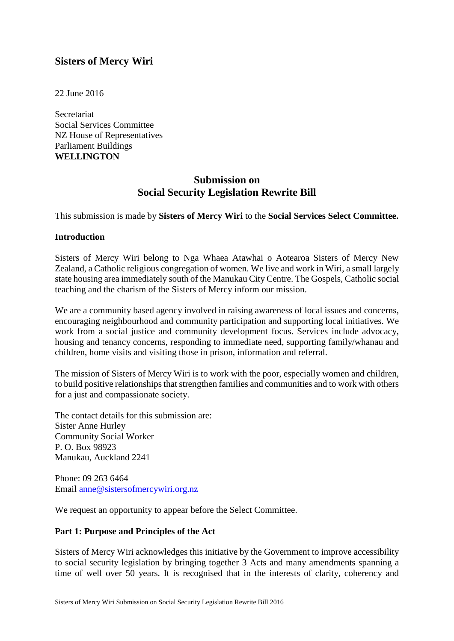# **Sisters of Mercy Wiri**

22 June 2016

**Secretariat** Social Services Committee NZ House of Representatives Parliament Buildings **WELLINGTON**

# **Submission on Social Security Legislation Rewrite Bill**

This submission is made by **Sisters of Mercy Wiri** to the **Social Services Select Committee.**

#### **Introduction**

Sisters of Mercy Wiri belong to Nga Whaea Atawhai o Aotearoa Sisters of Mercy New Zealand, a Catholic religious congregation of women. We live and work in Wiri, a small largely state housing area immediately south of the Manukau City Centre. The Gospels, Catholic social teaching and the charism of the Sisters of Mercy inform our mission.

We are a community based agency involved in raising awareness of local issues and concerns, encouraging neighbourhood and community participation and supporting local initiatives. We work from a social justice and community development focus. Services include advocacy, housing and tenancy concerns, responding to immediate need, supporting family/whanau and children, home visits and visiting those in prison, information and referral.

The mission of Sisters of Mercy Wiri is to work with the poor, especially women and children, to build positive relationships that strengthen families and communities and to work with others for a just and compassionate society.

The contact details for this submission are: Sister Anne Hurley Community Social Worker P. O. Box 98923 Manukau, Auckland 2241

Phone: 09 263 6464 Email anne@sistersofmercywiri.org.nz

We request an opportunity to appear before the Select Committee.

#### **Part 1: Purpose and Principles of the Act**

Sisters of Mercy Wiri acknowledges this initiative by the Government to improve accessibility to social security legislation by bringing together 3 Acts and many amendments spanning a time of well over 50 years. It is recognised that in the interests of clarity, coherency and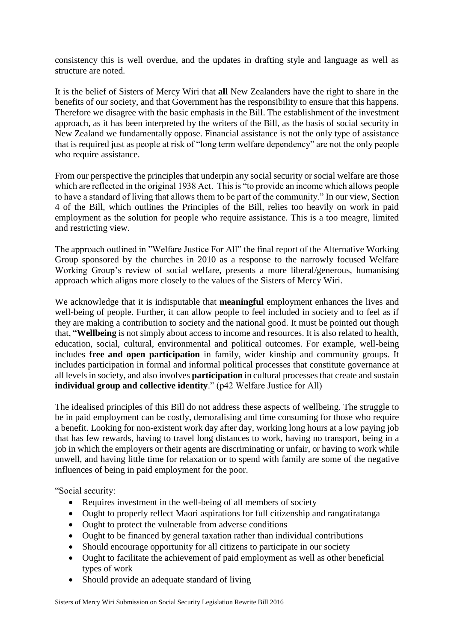consistency this is well overdue, and the updates in drafting style and language as well as structure are noted.

It is the belief of Sisters of Mercy Wiri that **all** New Zealanders have the right to share in the benefits of our society, and that Government has the responsibility to ensure that this happens. Therefore we disagree with the basic emphasis in the Bill. The establishment of the investment approach, as it has been interpreted by the writers of the Bill, as the basis of social security in New Zealand we fundamentally oppose. Financial assistance is not the only type of assistance that is required just as people at risk of "long term welfare dependency" are not the only people who require assistance.

From our perspective the principles that underpin any social security or social welfare are those which are reflected in the original 1938 Act. This is "to provide an income which allows people to have a standard of living that allows them to be part of the community." In our view, Section 4 of the Bill, which outlines the Principles of the Bill, relies too heavily on work in paid employment as the solution for people who require assistance. This is a too meagre, limited and restricting view.

The approach outlined in "Welfare Justice For All" the final report of the Alternative Working Group sponsored by the churches in 2010 as a response to the narrowly focused Welfare Working Group's review of social welfare, presents a more liberal/generous, humanising approach which aligns more closely to the values of the Sisters of Mercy Wiri.

We acknowledge that it is indisputable that **meaningful** employment enhances the lives and well-being of people. Further, it can allow people to feel included in society and to feel as if they are making a contribution to society and the national good. It must be pointed out though that, "**Wellbeing** is not simply about access to income and resources. It is also related to health, education, social, cultural, environmental and political outcomes. For example, well-being includes **free and open participation** in family, wider kinship and community groups. It includes participation in formal and informal political processes that constitute governance at all levels in society, and also involves **participation** in cultural processes that create and sustain **individual group and collective identity**." (p42 Welfare Justice for All)

The idealised principles of this Bill do not address these aspects of wellbeing. The struggle to be in paid employment can be costly, demoralising and time consuming for those who require a benefit. Looking for non-existent work day after day, working long hours at a low paying job that has few rewards, having to travel long distances to work, having no transport, being in a job in which the employers or their agents are discriminating or unfair, or having to work while unwell, and having little time for relaxation or to spend with family are some of the negative influences of being in paid employment for the poor.

"Social security:

- Requires investment in the well-being of all members of society
- Ought to properly reflect Maori aspirations for full citizenship and rangatiratanga
- Ought to protect the vulnerable from adverse conditions
- Ought to be financed by general taxation rather than individual contributions
- Should encourage opportunity for all citizens to participate in our society
- Ought to facilitate the achievement of paid employment as well as other beneficial types of work
- Should provide an adequate standard of living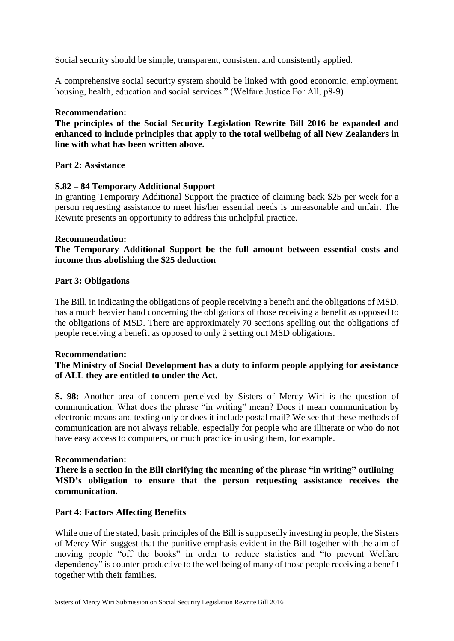Social security should be simple, transparent, consistent and consistently applied.

A comprehensive social security system should be linked with good economic, employment, housing, health, education and social services." (Welfare Justice For All, p8-9)

#### **Recommendation:**

**The principles of the Social Security Legislation Rewrite Bill 2016 be expanded and enhanced to include principles that apply to the total wellbeing of all New Zealanders in line with what has been written above.**

### **Part 2: Assistance**

### **S.82 – 84 Temporary Additional Support**

In granting Temporary Additional Support the practice of claiming back \$25 per week for a person requesting assistance to meet his/her essential needs is unreasonable and unfair. The Rewrite presents an opportunity to address this unhelpful practice.

#### **Recommendation:**

# **The Temporary Additional Support be the full amount between essential costs and income thus abolishing the \$25 deduction**

### **Part 3: Obligations**

The Bill, in indicating the obligations of people receiving a benefit and the obligations of MSD, has a much heavier hand concerning the obligations of those receiving a benefit as opposed to the obligations of MSD. There are approximately 70 sections spelling out the obligations of people receiving a benefit as opposed to only 2 setting out MSD obligations.

#### **Recommendation:**

## **The Ministry of Social Development has a duty to inform people applying for assistance of ALL they are entitled to under the Act.**

**S. 98:** Another area of concern perceived by Sisters of Mercy Wiri is the question of communication. What does the phrase "in writing" mean? Does it mean communication by electronic means and texting only or does it include postal mail? We see that these methods of communication are not always reliable, especially for people who are illiterate or who do not have easy access to computers, or much practice in using them, for example.

#### **Recommendation:**

**There is a section in the Bill clarifying the meaning of the phrase "in writing" outlining MSD's obligation to ensure that the person requesting assistance receives the communication.**

## **Part 4: Factors Affecting Benefits**

While one of the stated, basic principles of the Bill is supposedly investing in people, the Sisters of Mercy Wiri suggest that the punitive emphasis evident in the Bill together with the aim of moving people "off the books" in order to reduce statistics and "to prevent Welfare dependency" is counter-productive to the wellbeing of many of those people receiving a benefit together with their families.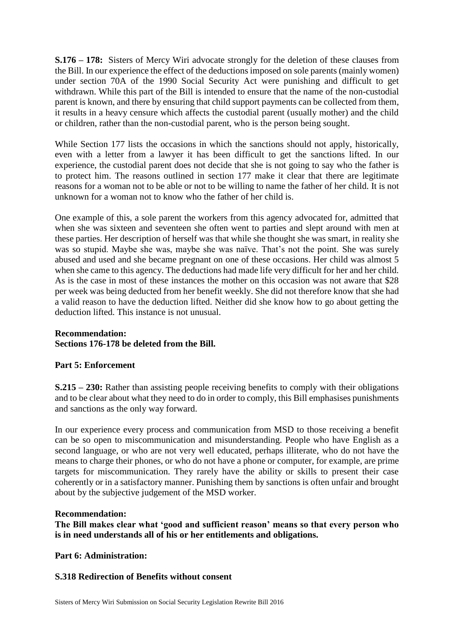**S.176 – 178:** Sisters of Mercy Wiri advocate strongly for the deletion of these clauses from the Bill. In our experience the effect of the deductions imposed on sole parents (mainly women) under section 70A of the 1990 Social Security Act were punishing and difficult to get withdrawn. While this part of the Bill is intended to ensure that the name of the non-custodial parent is known, and there by ensuring that child support payments can be collected from them, it results in a heavy censure which affects the custodial parent (usually mother) and the child or children, rather than the non-custodial parent, who is the person being sought.

While Section 177 lists the occasions in which the sanctions should not apply, historically, even with a letter from a lawyer it has been difficult to get the sanctions lifted. In our experience, the custodial parent does not decide that she is not going to say who the father is to protect him. The reasons outlined in section 177 make it clear that there are legitimate reasons for a woman not to be able or not to be willing to name the father of her child. It is not unknown for a woman not to know who the father of her child is.

One example of this, a sole parent the workers from this agency advocated for, admitted that when she was sixteen and seventeen she often went to parties and slept around with men at these parties. Her description of herself was that while she thought she was smart, in reality she was so stupid. Maybe she was, maybe she was naïve. That's not the point. She was surely abused and used and she became pregnant on one of these occasions. Her child was almost 5 when she came to this agency. The deductions had made life very difficult for her and her child. As is the case in most of these instances the mother on this occasion was not aware that \$28 per week was being deducted from her benefit weekly. She did not therefore know that she had a valid reason to have the deduction lifted. Neither did she know how to go about getting the deduction lifted. This instance is not unusual.

# **Recommendation: Sections 176-178 be deleted from the Bill.**

## **Part 5: Enforcement**

**S.215 – 230:** Rather than assisting people receiving benefits to comply with their obligations and to be clear about what they need to do in order to comply, this Bill emphasises punishments and sanctions as the only way forward.

In our experience every process and communication from MSD to those receiving a benefit can be so open to miscommunication and misunderstanding. People who have English as a second language, or who are not very well educated, perhaps illiterate, who do not have the means to charge their phones, or who do not have a phone or computer, for example, are prime targets for miscommunication. They rarely have the ability or skills to present their case coherently or in a satisfactory manner. Punishing them by sanctions is often unfair and brought about by the subjective judgement of the MSD worker.

#### **Recommendation:**

**The Bill makes clear what 'good and sufficient reason' means so that every person who is in need understands all of his or her entitlements and obligations.**

**Part 6: Administration:**

## **S.318 Redirection of Benefits without consent**